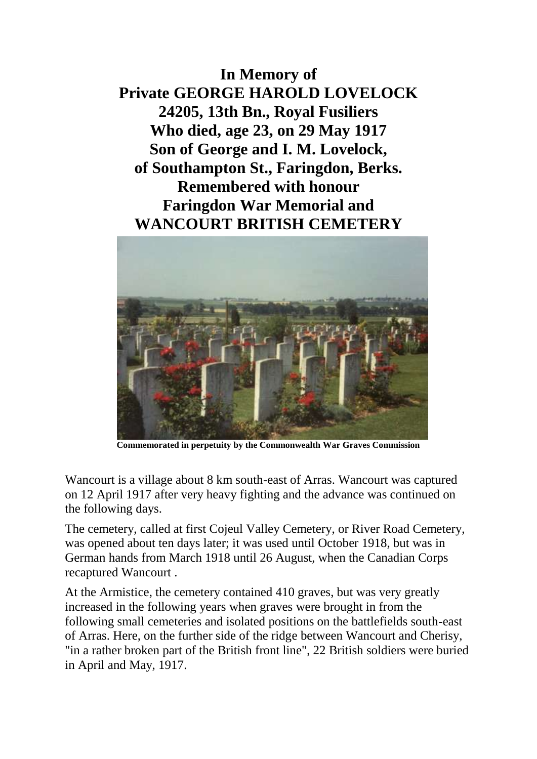**In Memory of Private GEORGE HAROLD LOVELOCK 24205, 13th Bn., Royal Fusiliers Who died, age 23, on 29 May 1917 Son of George and I. M. Lovelock, of Southampton St., Faringdon, Berks. Remembered with honour Faringdon War Memorial and WANCOURT BRITISH CEMETERY**



**Commemorated in perpetuity by the Commonwealth War Graves Commission**

Wancourt is a village about 8 km south-east of Arras. Wancourt was captured on 12 April 1917 after very heavy fighting and the advance was continued on the following days.

The cemetery, called at first Cojeul Valley Cemetery, or River Road Cemetery, was opened about ten days later; it was used until October 1918, but was in German hands from March 1918 until 26 August, when the Canadian Corps recaptured Wancourt .

At the Armistice, the cemetery contained 410 graves, but was very greatly increased in the following years when graves were brought in from the following small cemeteries and isolated positions on the battlefields south-east of Arras. Here, on the further side of the ridge between Wancourt and Cherisy, "in a rather broken part of the British front line", 22 British soldiers were buried in April and May, 1917.